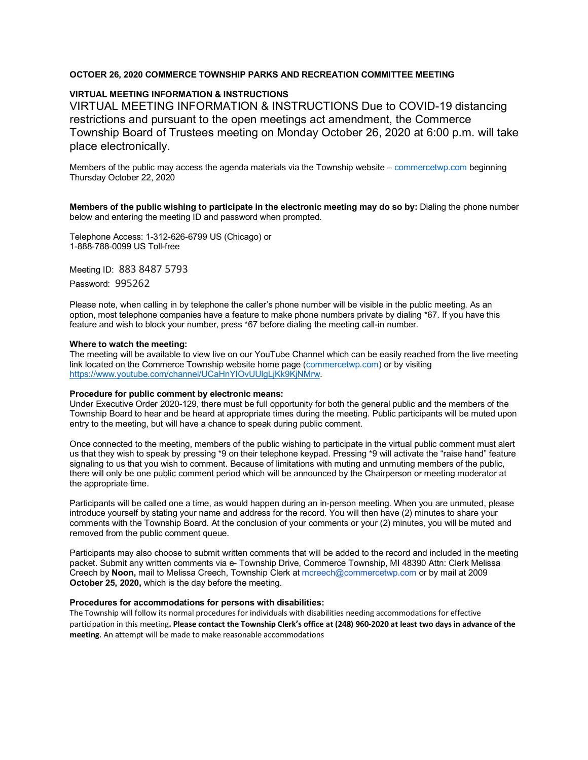### **OCTOER 26, 2020 COMMERCE TOWNSHIP PARKS AND RECREATION COMMITTEE MEETING**

### **VIRTUAL MEETING INFORMATION & INSTRUCTIONS**

VIRTUAL MEETING INFORMATION & INSTRUCTIONS Due to COVID-19 distancing restrictions and pursuant to the open meetings act amendment, the Commerce Township Board of Trustees meeting on Monday October 26, 2020 at 6:00 p.m. will take place electronically.

Members of the public may access the agenda materials via the Township website – commercetwp.com beginning Thursday October 22, 2020

**Members of the public wishing to participate in the electronic meeting may do so by:** Dialing the phone number below and entering the meeting ID and password when prompted.

Telephone Access: 1-312-626-6799 US (Chicago) or 1-888-788-0099 US Toll-free

Meeting ID: 883 8487 5793

Password: 995262

Please note, when calling in by telephone the caller's phone number will be visible in the public meeting. As an option, most telephone companies have a feature to make phone numbers private by dialing \*67. If you have this feature and wish to block your number, press \*67 before dialing the meeting call-in number.

#### **Where to watch the meeting:**

The meeting will be available to view live on our YouTube Channel which can be easily reached from the live meeting link located on the Commerce Township website home page (commercetwp.com) or by visiting https://www.youtube.com/channel/UCaHnYIOvUUlgLjKk9KjNMrw.

#### **Procedure for public comment by electronic means:**

Under Executive Order 2020-129, there must be full opportunity for both the general public and the members of the Township Board to hear and be heard at appropriate times during the meeting. Public participants will be muted upon entry to the meeting, but will have a chance to speak during public comment.

Once connected to the meeting, members of the public wishing to participate in the virtual public comment must alert us that they wish to speak by pressing \*9 on their telephone keypad. Pressing \*9 will activate the "raise hand" feature signaling to us that you wish to comment. Because of limitations with muting and unmuting members of the public, there will only be one public comment period which will be announced by the Chairperson or meeting moderator at the appropriate time.

Participants will be called one a time, as would happen during an in-person meeting. When you are unmuted, please introduce yourself by stating your name and address for the record. You will then have (2) minutes to share your comments with the Township Board. At the conclusion of your comments or your (2) minutes, you will be muted and removed from the public comment queue.

Participants may also choose to submit written comments that will be added to the record and included in the meeting packet. Submit any written comments via e- Township Drive, Commerce Township, MI 48390 Attn: Clerk Melissa Creech by **Noon,** mail to Melissa Creech, Township Clerk at mcreech@commercetwp.com or by mail at 2009 **October 25, 2020,** which is the day before the meeting.

#### **Procedures for accommodations for persons with disabilities:**

The Township will follow its normal procedures for individuals with disabilities needing accommodations for effective participation in this meeting**. Please contact the Township Clerk's office at (248) 960-2020 at least two days in advance of the meeting**. An attempt will be made to make reasonable accommodations